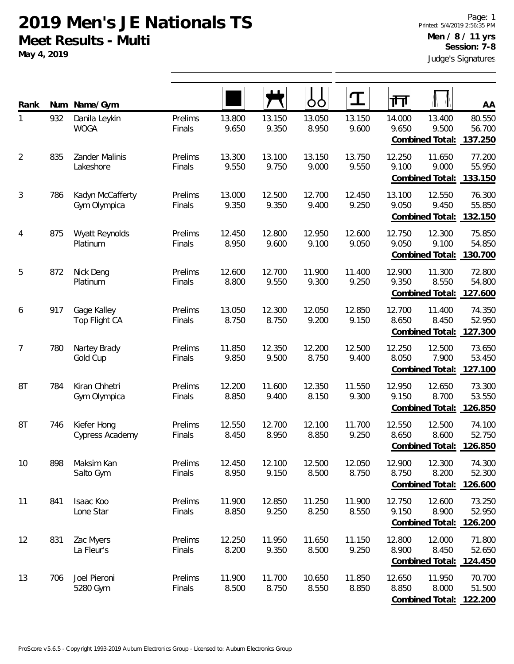**May 4, 2019**

| Rank           | Num | Name/Gym                         |                   |                 |                 | OO              | $\mathbf T$     | 帀               |                                            | AA                          |
|----------------|-----|----------------------------------|-------------------|-----------------|-----------------|-----------------|-----------------|-----------------|--------------------------------------------|-----------------------------|
| 1              | 932 | Danila Leykin<br><b>WOGA</b>     | Prelims<br>Finals | 13.800<br>9.650 | 13.150<br>9.350 | 13.050<br>8.950 | 13.150<br>9.600 | 14.000<br>9.650 | 13.400<br>9.500<br>Combined Total:         | 80.550<br>56.700<br>137.250 |
| $\overline{2}$ | 835 | Zander Malinis<br>Lakeshore      | Prelims<br>Finals | 13.300<br>9.550 | 13.100<br>9.750 | 13.150<br>9.000 | 13.750<br>9.550 | 12.250<br>9.100 | 11.650<br>9.000<br>Combined Total:         | 77.200<br>55.950<br>133.150 |
| 3              | 786 | Kadyn McCafferty<br>Gym Olympica | Prelims<br>Finals | 13.000<br>9.350 | 12.500<br>9.350 | 12.700<br>9.400 | 12.450<br>9.250 | 13.100<br>9.050 | 12.550<br>9.450<br>Combined Total:         | 76.300<br>55.850<br>132.150 |
| 4              | 875 | Wyatt Reynolds<br>Platinum       | Prelims<br>Finals | 12.450<br>8.950 | 12.800<br>9.600 | 12.950<br>9.100 | 12.600<br>9.050 | 12.750<br>9.050 | 12.300<br>9.100<br>Combined Total:         | 75.850<br>54.850<br>130.700 |
| 5              | 872 | Nick Deng<br>Platinum            | Prelims<br>Finals | 12.600<br>8.800 | 12.700<br>9.550 | 11.900<br>9.300 | 11.400<br>9.250 | 12.900<br>9.350 | 11.300<br>8.550<br>Combined Total:         | 72.800<br>54.800<br>127.600 |
| 6              | 917 | Gage Kalley<br>Top Flight CA     | Prelims<br>Finals | 13.050<br>8.750 | 12.300<br>8.750 | 12.050<br>9.200 | 12.850<br>9.150 | 12.700<br>8.650 | 11.400<br>8.450<br>Combined Total:         | 74.350<br>52.950<br>127.300 |
| 7              | 780 | Nartey Brady<br>Gold Cup         | Prelims<br>Finals | 11.850<br>9.850 | 12.350<br>9.500 | 12.200<br>8.750 | 12.500<br>9.400 | 12.250<br>8.050 | 12.500<br>7.900<br>Combined Total:         | 73.650<br>53.450<br>127.100 |
| 8T             | 784 | Kiran Chhetri<br>Gym Olympica    | Prelims<br>Finals | 12.200<br>8.850 | 11.600<br>9.400 | 12.350<br>8.150 | 11.550<br>9.300 | 12.950<br>9.150 | 12.650<br>8.700<br>Combined Total:         | 73.300<br>53.550<br>126.850 |
| 8T             | 746 | Kiefer Hong<br>Cypress Academy   | Prelims<br>Finals | 12.550<br>8.450 | 12.700<br>8.950 | 12.100<br>8.850 | 11.700<br>9.250 | 12.550<br>8.650 | 12.500<br>8.600<br>Combined Total: 126.850 | 74.100<br>52.750            |
| 10             | 898 | Maksim Kan<br>Salto Gym          | Prelims<br>Finals | 12.450<br>8.950 | 12.100<br>9.150 | 12.500<br>8.500 | 12.050<br>8.750 | 12.900<br>8.750 | 12.300<br>8.200<br>Combined Total:         | 74.300<br>52.300<br>126.600 |
| 11             | 841 | Isaac Koo<br>Lone Star           | Prelims<br>Finals | 11.900<br>8.850 | 12.850<br>9.250 | 11.250<br>8.250 | 11.900<br>8.550 | 12.750<br>9.150 | 12.600<br>8.900<br>Combined Total:         | 73.250<br>52.950<br>126.200 |
| 12             | 831 | Zac Myers<br>La Fleur's          | Prelims<br>Finals | 12.250<br>8.200 | 11.950<br>9.350 | 11.650<br>8.500 | 11.150<br>9.250 | 12.800<br>8.900 | 12.000<br>8.450<br>Combined Total:         | 71.800<br>52.650<br>124.450 |
| 13             | 706 | Joel Pieroni<br>5280 Gym         | Prelims<br>Finals | 11.900<br>8.500 | 11.700<br>8.750 | 10.650<br>8.550 | 11.850<br>8.850 | 12.650<br>8.850 | 11.950<br>8.000<br>Combined Total:         | 70.700<br>51.500<br>122.200 |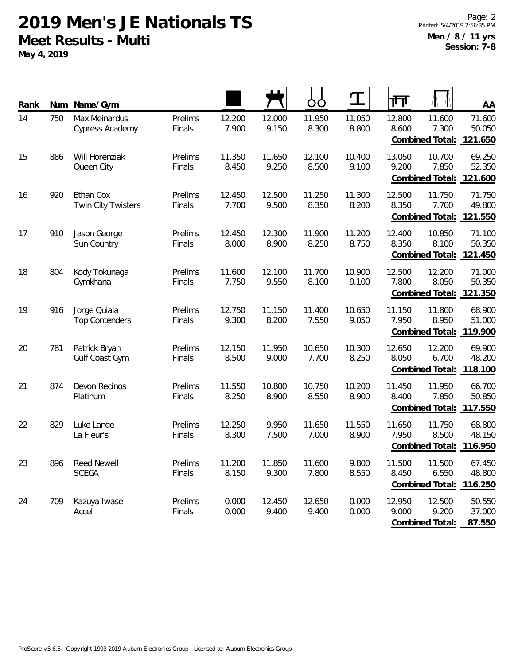**May 4, 2019**

| Rank | Num | Name/Gym                               |                   |                 |                 | OO              | ${\bf T}$       | 帀               |                                    | AA                                          |
|------|-----|----------------------------------------|-------------------|-----------------|-----------------|-----------------|-----------------|-----------------|------------------------------------|---------------------------------------------|
| 14   | 750 | Max Meinardus<br>Cypress Academy       | Prelims<br>Finals | 12.200<br>7.900 | 12.000<br>9.150 | 11.950<br>8.300 | 11.050<br>8.800 | 12.800<br>8.600 | 11.600<br>7.300<br>Combined Total: | 71.600<br>50.050<br>121.650                 |
| 15   | 886 | Will Horenziak<br>Queen City           | Prelims<br>Finals | 11.350<br>8.450 | 11.650<br>9.250 | 12.100<br>8.500 | 10.400<br>9.100 | 13.050<br>9.200 | 10.700<br>7.850<br>Combined Total: | 69.250<br>52.350<br>121.600                 |
| 16   | 920 | Ethan Cox<br><b>Twin City Twisters</b> | Prelims<br>Finals | 12.450<br>7.700 | 12.500<br>9.500 | 11.250<br>8.350 | 11.300<br>8.200 | 12.500<br>8.350 | 11.750<br>7.700<br>Combined Total: | 71.750<br>49.800<br>121.550                 |
| 17   | 910 | Jason George<br>Sun Country            | Prelims<br>Finals | 12.450<br>8.000 | 12.300<br>8.900 | 11.900<br>8.250 | 11.200<br>8.750 | 12.400<br>8.350 | 10.850<br>8.100<br>Combined Total: | 71.100<br>50.350<br>121.450                 |
| 18   | 804 | Kody Tokunaga<br>Gymkhana              | Prelims<br>Finals | 11.600<br>7.750 | 12.100<br>9.550 | 11.700<br>8.100 | 10.900<br>9.100 | 12.500<br>7.800 | 12.200<br>8.050<br>Combined Total: | 71.000<br>50.350<br>121.350                 |
| 19   | 916 | Jorge Quiala<br><b>Top Contenders</b>  | Prelims<br>Finals | 12.750<br>9.300 | 11.150<br>8.200 | 11.400<br>7.550 | 10.650<br>9.050 | 11.150<br>7.950 | 11.800<br>8.950<br>Combined Total: | 68.900<br>51.000<br>119.900                 |
| 20   | 781 | Patrick Bryan<br>Gulf Coast Gym        | Prelims<br>Finals | 12.150<br>8.500 | 11.950<br>9.000 | 10.650<br>7.700 | 10.300<br>8.250 | 12.650<br>8.050 | 12.200<br>6.700<br>Combined Total: | 69.900<br>48.200<br>118.100                 |
| 21   | 874 | Devon Recinos<br>Platinum              | Prelims<br>Finals | 11.550<br>8.250 | 10.800<br>8.900 | 10.750<br>8.550 | 10.200<br>8.900 | 11.450<br>8.400 | 11.950<br>7.850<br>Combined Total: | 66.700<br>50.850<br>117.550                 |
| 22   | 829 | Luke Lange<br>La Fleur's               | Prelims<br>Finals | 12.250<br>8.300 | 9.950<br>7.500  | 11.650<br>7.000 | 11.550<br>8.900 | 11.650<br>7.950 | 11.750<br>8.500<br>Combined Total: | 68.800<br>48.150<br>116.950                 |
| 23   | 896 | Reed Newell<br><b>SCEGA</b>            | Prelims<br>Finals | 11.200<br>8.150 | 11.850<br>9.300 | 11.600<br>7.800 | 9.800<br>8.550  | 11.500<br>8.450 | 11.500<br>6.550                    | 67.450<br>48.800<br>Combined Total: 116.250 |
| 24   | 709 | Kazuya Iwase<br>Accel                  | Prelims<br>Finals | 0.000<br>0.000  | 12.450<br>9.400 | 12.650<br>9.400 | 0.000<br>0.000  | 12.950<br>9.000 | 12.500<br>9.200<br>Combined Total: | 50.550<br>37.000<br>87.550                  |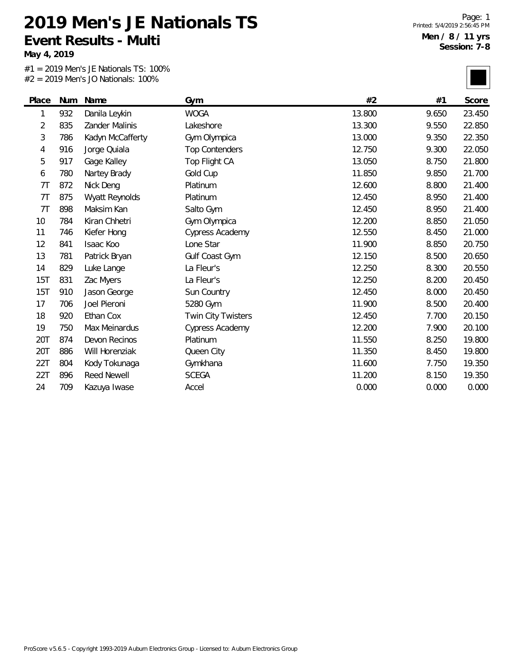**Event Results - Multi**

**May 4, 2019**

 $\overline{\phantom{0}}$ 

#1 = 2019 Men's JE Nationals TS: 100% #2 = 2019 Men's JO Nationals: 100%

**2019 Men's JE Nationals TS**

Page: 1 Printed: 5/4/2019 2:56:45 PM **Men / 8 / 11 yrs Session: 7-8**

|       |     | $-$ 2017 IVICITS JO HOLIOHOIS. TOO 70 |                       |        |       |        |
|-------|-----|---------------------------------------|-----------------------|--------|-------|--------|
| Place | Num | Name                                  | Gym                   | #2     | #1    | Score  |
| 1     | 932 | Danila Leykin                         | <b>WOGA</b>           | 13.800 | 9.650 | 23.450 |
| 2     | 835 | Zander Malinis                        | Lakeshore             | 13.300 | 9.550 | 22.850 |
| 3     | 786 | Kadyn McCafferty                      | Gym Olympica          | 13.000 | 9.350 | 22.350 |
| 4     | 916 | Jorge Quiala                          | <b>Top Contenders</b> | 12.750 | 9.300 | 22.050 |
| 5     | 917 | Gage Kalley                           | Top Flight CA         | 13.050 | 8.750 | 21.800 |
| 6     | 780 | Nartey Brady                          | Gold Cup              | 11.850 | 9.850 | 21.700 |
| 7T    | 872 | Nick Deng                             | Platinum              | 12.600 | 8.800 | 21.400 |
| 7T    | 875 | Wyatt Reynolds                        | Platinum              | 12.450 | 8.950 | 21.400 |
| 7T    | 898 | Maksim Kan                            | Salto Gym             | 12.450 | 8.950 | 21.400 |
| 10    | 784 | Kiran Chhetri                         | Gym Olympica          | 12.200 | 8.850 | 21.050 |
| 11    | 746 | Kiefer Hong                           | Cypress Academy       | 12.550 | 8.450 | 21.000 |
| 12    | 841 | Isaac Koo                             | Lone Star             | 11.900 | 8.850 | 20.750 |
| 13    | 781 | Patrick Bryan                         | Gulf Coast Gym        | 12.150 | 8.500 | 20.650 |
| 14    | 829 | Luke Lange                            | La Fleur's            | 12.250 | 8.300 | 20.550 |
| 15T   | 831 | Zac Myers                             | La Fleur's            | 12.250 | 8.200 | 20.450 |
| 15T   | 910 | Jason George                          | Sun Country           | 12.450 | 8.000 | 20.450 |
| 17    | 706 | Joel Pieroni                          | 5280 Gym              | 11.900 | 8.500 | 20.400 |
| 18    | 920 | Ethan Cox                             | Twin City Twisters    | 12.450 | 7.700 | 20.150 |
| 19    | 750 | Max Meinardus                         | Cypress Academy       | 12.200 | 7.900 | 20.100 |
| 20T   | 874 | Devon Recinos                         | Platinum              | 11.550 | 8.250 | 19.800 |
| 20T   | 886 | Will Horenziak                        | Queen City            | 11.350 | 8.450 | 19.800 |
| 22T   | 804 | Kody Tokunaga                         | Gymkhana              | 11.600 | 7.750 | 19.350 |
| 22T   | 896 | <b>Reed Newell</b>                    | <b>SCEGA</b>          | 11.200 | 8.150 | 19.350 |
| 24    | 709 | Kazuya Iwase                          | Accel                 | 0.000  | 0.000 | 0.000  |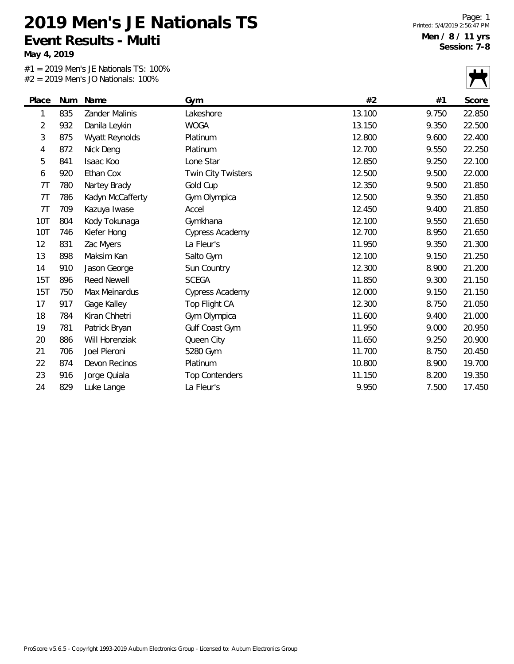**May 4, 2019**

#1 = 2019 Men's JE Nationals TS: 100% #2 = 2019 Men's JO Nationals: 100%

|            |     | $Z = Z019$ Merts JO Nationals: TOO% |                        |        |       |        |
|------------|-----|-------------------------------------|------------------------|--------|-------|--------|
| Place      | Num | Name                                | Gym                    | #2     | #1    | Score  |
| 1          | 835 | Zander Malinis                      | Lakeshore              | 13.100 | 9.750 | 22.850 |
| 2          | 932 | Danila Leykin                       | <b>WOGA</b>            | 13.150 | 9.350 | 22.500 |
| 3          | 875 | Wyatt Reynolds                      | Platinum               | 12.800 | 9.600 | 22.400 |
| 4          | 872 | Nick Deng                           | Platinum               | 12.700 | 9.550 | 22.250 |
| 5          | 841 | Isaac Koo                           | Lone Star              | 12.850 | 9.250 | 22.100 |
| 6          | 920 | Ethan Cox                           | Twin City Twisters     | 12.500 | 9.500 | 22.000 |
| 7T         | 780 | Nartey Brady                        | Gold Cup               | 12.350 | 9.500 | 21.850 |
| 7T         | 786 | Kadyn McCafferty                    | Gym Olympica           | 12.500 | 9.350 | 21.850 |
| 7T         | 709 | Kazuya Iwase                        | Accel                  | 12.450 | 9.400 | 21.850 |
| <b>10T</b> | 804 | Kody Tokunaga                       | Gymkhana               | 12.100 | 9.550 | 21.650 |
| <b>10T</b> | 746 | Kiefer Hong                         | <b>Cypress Academy</b> | 12.700 | 8.950 | 21.650 |
| 12         | 831 | Zac Myers                           | La Fleur's             | 11.950 | 9.350 | 21.300 |
| 13         | 898 | Maksim Kan                          | Salto Gym              | 12.100 | 9.150 | 21.250 |
| 14         | 910 | Jason George                        | Sun Country            | 12.300 | 8.900 | 21.200 |
| 15T        | 896 | <b>Reed Newell</b>                  | <b>SCEGA</b>           | 11.850 | 9.300 | 21.150 |
| 15T        | 750 | Max Meinardus                       | Cypress Academy        | 12.000 | 9.150 | 21.150 |
| 17         | 917 | Gage Kalley                         | Top Flight CA          | 12.300 | 8.750 | 21.050 |
| 18         | 784 | Kiran Chhetri                       | Gym Olympica           | 11.600 | 9.400 | 21.000 |
| 19         | 781 | Patrick Bryan                       | Gulf Coast Gym         | 11.950 | 9.000 | 20.950 |
| 20         | 886 | Will Horenziak                      | Queen City             | 11.650 | 9.250 | 20.900 |
| 21         | 706 | Joel Pieroni                        | 5280 Gym               | 11.700 | 8.750 | 20.450 |
| 22         | 874 | Devon Recinos                       | Platinum               | 10.800 | 8.900 | 19.700 |
| 23         | 916 | Jorge Quiala                        | <b>Top Contenders</b>  | 11.150 | 8.200 | 19.350 |
| 24         | 829 | Luke Lange                          | La Fleur's             | 9.950  | 7.500 | 17.450 |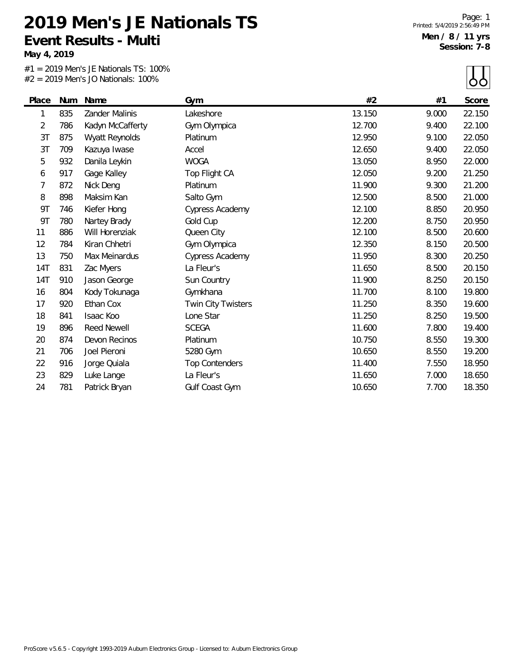**Event Results - Multi**

**May 4, 2019**

#1 = 2019 Men's JE Nationals TS: 100% #2 = 2019 Men's JO Nationals: 100%

**2019 Men's JE Nationals TS**

 $\Box$ 

|            |     | $#Z = ZUIY$ Men S JO Nationals: $100\%$ |                       |        |       | OO     |
|------------|-----|-----------------------------------------|-----------------------|--------|-------|--------|
| Place      | Num | Name                                    | Gym                   | #2     | #1    | Score  |
| 1          | 835 | Zander Malinis                          | Lakeshore             | 13.150 | 9.000 | 22.150 |
| 2          | 786 | Kadyn McCafferty                        | Gym Olympica          | 12.700 | 9.400 | 22.100 |
| 3T         | 875 | Wyatt Reynolds                          | Platinum              | 12.950 | 9.100 | 22.050 |
| 3T         | 709 | Kazuya Iwase                            | Accel                 | 12.650 | 9.400 | 22.050 |
| 5          | 932 | Danila Leykin                           | <b>WOGA</b>           | 13.050 | 8.950 | 22.000 |
| 6          | 917 | Gage Kalley                             | Top Flight CA         | 12.050 | 9.200 | 21.250 |
| 7          | 872 | Nick Deng                               | Platinum              | 11.900 | 9.300 | 21.200 |
| 8          | 898 | Maksim Kan                              | Salto Gym             | 12.500 | 8.500 | 21.000 |
| 9T         | 746 | Kiefer Hong                             | Cypress Academy       | 12.100 | 8.850 | 20.950 |
| 9T         | 780 | Nartey Brady                            | Gold Cup              | 12.200 | 8.750 | 20.950 |
| 11         | 886 | Will Horenziak                          | Queen City            | 12.100 | 8.500 | 20.600 |
| 12         | 784 | Kiran Chhetri                           | Gym Olympica          | 12.350 | 8.150 | 20.500 |
| 13         | 750 | Max Meinardus                           | Cypress Academy       | 11.950 | 8.300 | 20.250 |
| 14T        | 831 | Zac Myers                               | La Fleur's            | 11.650 | 8.500 | 20.150 |
| <b>14T</b> | 910 | Jason George                            | Sun Country           | 11.900 | 8.250 | 20.150 |
| 16         | 804 | Kody Tokunaga                           | Gymkhana              | 11.700 | 8.100 | 19.800 |
| 17         | 920 | Ethan Cox                               | Twin City Twisters    | 11.250 | 8.350 | 19.600 |
| 18         | 841 | Isaac Koo                               | Lone Star             | 11.250 | 8.250 | 19.500 |
| 19         | 896 | <b>Reed Newell</b>                      | <b>SCEGA</b>          | 11.600 | 7.800 | 19.400 |
| 20         | 874 | Devon Recinos                           | Platinum              | 10.750 | 8.550 | 19.300 |
| 21         | 706 | Joel Pieroni                            | 5280 Gym              | 10.650 | 8.550 | 19.200 |
| 22         | 916 | Jorge Quiala                            | <b>Top Contenders</b> | 11.400 | 7.550 | 18.950 |
| 23         | 829 | Luke Lange                              | La Fleur's            | 11.650 | 7.000 | 18.650 |
| 24         | 781 | Patrick Bryan                           | Gulf Coast Gym        | 10.650 | 7.700 | 18.350 |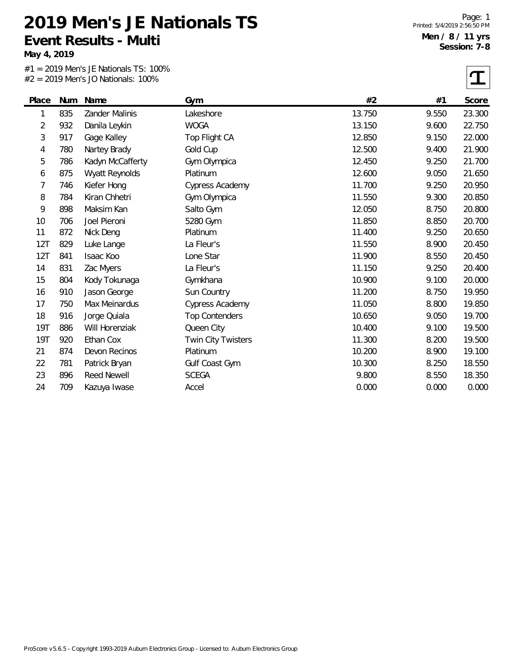**May 4, 2019**

 $\overline{\phantom{0}}$ 

#1 = 2019 Men's JE Nationals TS: 100% #2 = 2019 Men's JO Nationals: 100%

|                |     | <b>TVICTIO JO HULLOHUIJ.</b> 10070 |                           |        |       |        |
|----------------|-----|------------------------------------|---------------------------|--------|-------|--------|
| Place          | Num | Name                               | Gym                       | #2     | #1    | Score  |
| 1              | 835 | Zander Malinis                     | Lakeshore                 | 13.750 | 9.550 | 23.300 |
| $\overline{2}$ | 932 | Danila Leykin                      | <b>WOGA</b>               | 13.150 | 9.600 | 22.750 |
| 3              | 917 | Gage Kalley                        | Top Flight CA             | 12.850 | 9.150 | 22.000 |
| 4              | 780 | Nartey Brady                       | Gold Cup                  | 12.500 | 9.400 | 21.900 |
| 5              | 786 | Kadyn McCafferty                   | Gym Olympica              | 12.450 | 9.250 | 21.700 |
| 6              | 875 | Wyatt Reynolds                     | Platinum                  | 12.600 | 9.050 | 21.650 |
| 7              | 746 | Kiefer Hong                        | <b>Cypress Academy</b>    | 11.700 | 9.250 | 20.950 |
| 8              | 784 | Kiran Chhetri                      | Gym Olympica              | 11.550 | 9.300 | 20.850 |
| 9              | 898 | Maksim Kan                         | Salto Gym                 | 12.050 | 8.750 | 20.800 |
| 10             | 706 | Joel Pieroni                       | 5280 Gym                  | 11.850 | 8.850 | 20.700 |
| 11             | 872 | Nick Deng                          | Platinum                  | 11.400 | 9.250 | 20.650 |
| 12T            | 829 | Luke Lange                         | La Fleur's                | 11.550 | 8.900 | 20.450 |
| 12T            | 841 | Isaac Koo                          | Lone Star                 | 11.900 | 8.550 | 20.450 |
| 14             | 831 | Zac Myers                          | La Fleur's                | 11.150 | 9.250 | 20.400 |
| 15             | 804 | Kody Tokunaga                      | Gymkhana                  | 10.900 | 9.100 | 20.000 |
| 16             | 910 | Jason George                       | Sun Country               | 11.200 | 8.750 | 19.950 |
| 17             | 750 | Max Meinardus                      | Cypress Academy           | 11.050 | 8.800 | 19.850 |
| 18             | 916 | Jorge Quiala                       | <b>Top Contenders</b>     | 10.650 | 9.050 | 19.700 |
| <b>19T</b>     | 886 | Will Horenziak                     | Queen City                | 10.400 | 9.100 | 19.500 |
| <b>19T</b>     | 920 | Ethan Cox                          | <b>Twin City Twisters</b> | 11.300 | 8.200 | 19.500 |
| 21             | 874 | Devon Recinos                      | Platinum                  | 10.200 | 8.900 | 19.100 |
| 22             | 781 | Patrick Bryan                      | Gulf Coast Gym            | 10.300 | 8.250 | 18.550 |
| 23             | 896 | <b>Reed Newell</b>                 | <b>SCEGA</b>              | 9.800  | 8.550 | 18.350 |
| 24             | 709 | Kazuya Iwase                       | Accel                     | 0.000  | 0.000 | 0.000  |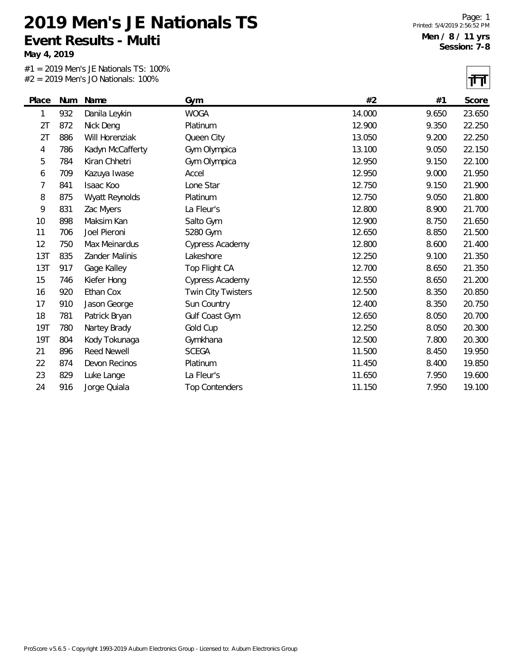**May 4, 2019**

#1 = 2019 Men's JE Nationals TS: 100% #2 = 2019 Men's JO Nationals: 100%

|            |     |                    |                           |        |       | 1. L   |
|------------|-----|--------------------|---------------------------|--------|-------|--------|
| Place      | Num | Name               | Gym                       | #2     | #1    | Score  |
| 1          | 932 | Danila Leykin      | <b>WOGA</b>               | 14.000 | 9.650 | 23.650 |
| 2T         | 872 | Nick Deng          | Platinum                  | 12.900 | 9.350 | 22.250 |
| 2T         | 886 | Will Horenziak     | Queen City                | 13.050 | 9.200 | 22.250 |
| 4          | 786 | Kadyn McCafferty   | Gym Olympica              | 13.100 | 9.050 | 22.150 |
| 5          | 784 | Kiran Chhetri      | Gym Olympica              | 12.950 | 9.150 | 22.100 |
| 6          | 709 | Kazuya Iwase       | Accel                     | 12.950 | 9.000 | 21.950 |
| 7          | 841 | Isaac Koo          | Lone Star                 | 12.750 | 9.150 | 21.900 |
| 8          | 875 | Wyatt Reynolds     | Platinum                  | 12.750 | 9.050 | 21.800 |
| 9          | 831 | Zac Myers          | La Fleur's                | 12.800 | 8.900 | 21.700 |
| 10         | 898 | Maksim Kan         | Salto Gym                 | 12.900 | 8.750 | 21.650 |
| 11         | 706 | Joel Pieroni       | 5280 Gym                  | 12.650 | 8.850 | 21.500 |
| 12         | 750 | Max Meinardus      | <b>Cypress Academy</b>    | 12.800 | 8.600 | 21.400 |
| 13T        | 835 | Zander Malinis     | Lakeshore                 | 12.250 | 9.100 | 21.350 |
| 13T        | 917 | Gage Kalley        | Top Flight CA             | 12.700 | 8.650 | 21.350 |
| 15         | 746 | Kiefer Hong        | <b>Cypress Academy</b>    | 12.550 | 8.650 | 21.200 |
| 16         | 920 | Ethan Cox          | <b>Twin City Twisters</b> | 12.500 | 8.350 | 20.850 |
| 17         | 910 | Jason George       | Sun Country               | 12.400 | 8.350 | 20.750 |
| 18         | 781 | Patrick Bryan      | Gulf Coast Gym            | 12.650 | 8.050 | 20.700 |
| 19T        | 780 | Nartey Brady       | Gold Cup                  | 12.250 | 8.050 | 20.300 |
| <b>19T</b> | 804 | Kody Tokunaga      | Gymkhana                  | 12.500 | 7.800 | 20.300 |
| 21         | 896 | <b>Reed Newell</b> | <b>SCEGA</b>              | 11.500 | 8.450 | 19.950 |
| 22         | 874 | Devon Recinos      | Platinum                  | 11.450 | 8.400 | 19.850 |
| 23         | 829 | Luke Lange         | La Fleur's                | 11.650 | 7.950 | 19.600 |
| 24         | 916 | Jorge Quiala       | <b>Top Contenders</b>     | 11.150 | 7.950 | 19.100 |